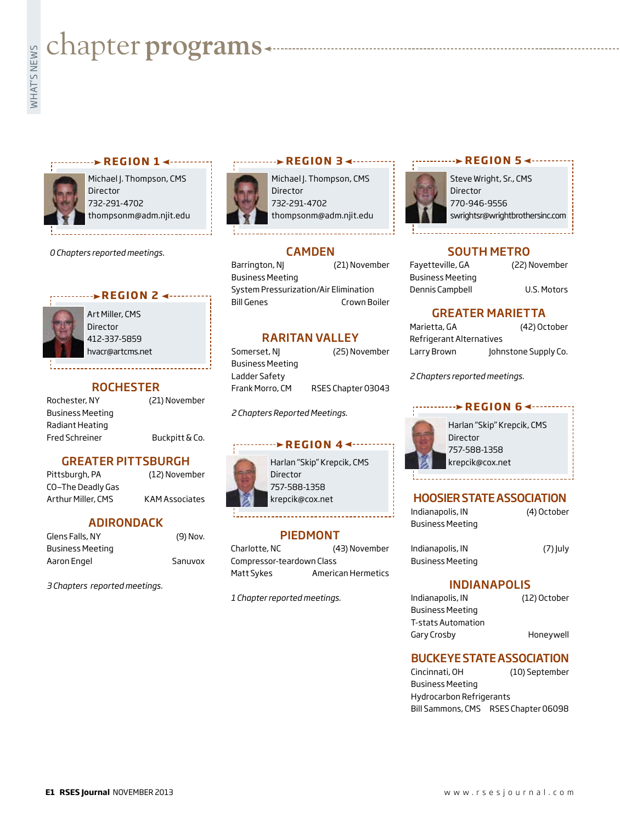# **under programs ~~**<br> $\frac{1}{2}$

#### **REGION 1 ← · · · · · · · · · · ·**



Michael J. Thompson, CMS Director 732-291-4702 thompsonm@adm.njit.edu

*0 Chapters reported meetings.*

#### **REGION 2 4 ······**



Art Miller, CMS Director 412-337-5859 hvacr@artcms.net

#### **ROCHESTER**

| Rochester, NY           |
|-------------------------|
| <b>Business Meeting</b> |
| Radiant Heating         |
| <b>Fred Schreiner</b>   |

(21) November

Buckpitt & Co.

#### GREATER PITTSBURGH

Pittsburgh, PA (12) November CO—The Deadly Gas Arthur Miller, CMS KAM Associates

(9) Nov.

#### ADIRONDACK

| Glens Falls, NY         | (9) Nov. |
|-------------------------|----------|
| <b>Business Meeting</b> |          |
| Aaron Engel             | Sanuvox  |

*3 Chapters reported meetings.*

#### **BEGION 3**

Michael J. Thompson, CMS Director 732-291-4702 thompsonm@adm.njit.edu

#### CAMDEN

Barrington, NJ (21) November Business Meeting System Pressurization/Air Elimination Bill Genes Crown Boiler

#### RARITAN VALLEY

Somerset, NJ (25) November Business Meeting Ladder Safety Frank Morro, CM RSES Chapter 03043

*2 Chapters Reported Meetings.*

#### **REGION 4 <--**

Harlan "Skip" Krepcik, CMS Director 757-588-1358 krepcik@cox.net

#### PIEDMONT

Charlotte, NC (43) November Compressor-teardown Class Matt Sykes **American Hermetics** 

*1 Chapter reported meetings.*

#### **BREGION 5 <----------**

Steve Wright, Sr., CMS Director 770-946-9556 swrightsr@wrightbrothersinc.com

#### SOUTH METRO

Fayetteville, GA (22) November Business Meeting Dennis Campbell **U.S. Motors** 

#### GREATER MARIETTA

| Marietta, GA             | (42) October         |  |
|--------------------------|----------------------|--|
| Refrigerant Alternatives |                      |  |
| Larry Brown              | Johnstone Supply Co. |  |

*2 Chapters reported meetings.*

#### **REGION 6 <------**



Harlan "Skip" Krepcik, CMS Director 757-588-1358 krepcik@cox.net

#### HOOSIER STATE ASSOCIATION

| Indianapolis, IN        | (4) October |
|-------------------------|-------------|
| <b>Business Meeting</b> |             |
| Indianapolis, IN        | $(7)$ July  |
|                         |             |

Business Meeting

#### INDIANAPOLIS

| Indianapolis, IN          | (12) October |
|---------------------------|--------------|
| <b>Business Meeting</b>   |              |
| <b>T-stats Automation</b> |              |
| Gary Crosby               | Honeywell    |

#### BUCKEYE STATE ASSOCIATION

Cincinnati, OH (10) September Business Meeting Hydrocarbon Refrigerants Bill Sammons, CMS RSES Chapter 06098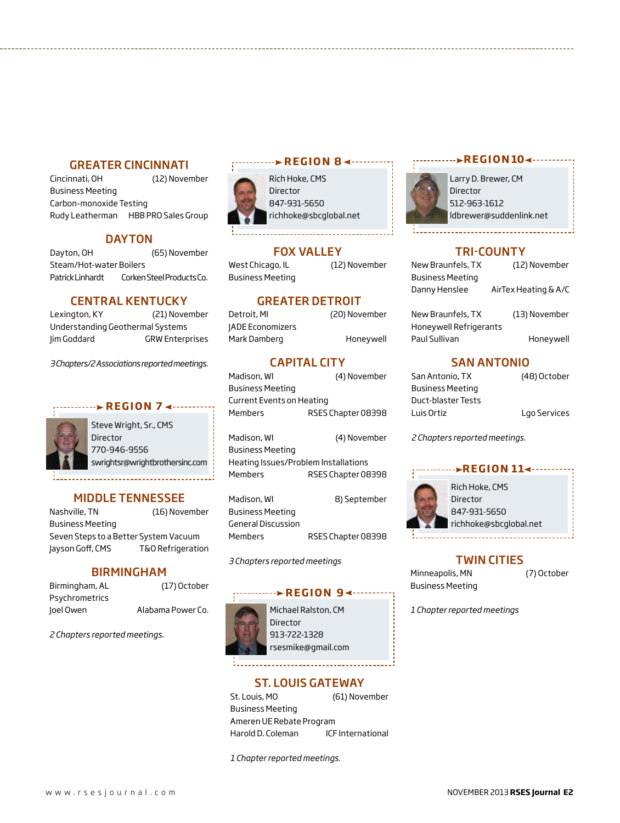#### GREATER CINCINNATI

Cincinnati, OH (12) November Business Meeting Carbon-monoxide Testing Rudy Leatherman HBB PRO Sales Group

#### **DAYTON**

Dayton, OH (65) November Steam/Hot-water Boilers Patrick Linhardt Corken Steel Products Co.

#### CENTRAL KENTUCKY

Lexington, KY (21) November Understanding Geothermal Systems Jim Goddard GRW Enterprises

*3 Chapters/2 Associations reported meetings.*

#### **REGION 7 <--------**

Steve Wright, Sr., CMS Director 770-946-9556 swrightsr@wrightbrothersinc.com

#### MIDDLE TENNESSEE

Nashville, TN (16) November Business Meeting Seven Steps to a Better System Vacuum Jayson Goff, CMS T&O Refrigeration

#### BIRMINGHAM

Birmingham, AL (17) October Psychrometrics Joel Owen Alabama Power Co.

*2 Chapters reported meetings.*

## **EXEGION 8 <----------**



#### FOX VALLEY

Business Meeting

West Chicago, IL (12) November

#### GREATER DETROIT

Detroit, MI (20) November JADE Economizers Mark Damberg Honeywell

#### CAPITAL CITY

Madison, WI (4) November Business Meeting Current Events on Heating Members RSES Chapter 08398

Madison, WI (4) November Business Meeting Heating Issues/Problem Installations Members RSES Chapter 08398

Madison, WI 8) September Business Meeting General Discussion Members RSES Chapter 08398

*3 Chapters reported meetings*

#### **BEGION 9<…**



Michael Ralston, CM Director 913-722-1328 rsesmike@gmail.com

#### ST. LOUIS GATEWAY

St. Louis, MO (61) November Business Meeting Ameren UE Rebate Program Harold D. Coleman ICF International

*1 Chapter reported meetings.*

#### **EXAMPLE ASSESSED A REGION 104-1-1-1-1-1**

Larry D. Brewer, CM Director 512-963-1612 ldbrewer@suddenlink.net

#### TRI-COUNTY

New Braunfels, TX (12) November Business Meeting Danny Henslee AirTex Heating & A/C

| New Braunfels, TX      | (13) November |
|------------------------|---------------|
| Honeywell Refrigerants |               |
| Paul Sullivan          | Honeywell     |

#### SAN ANTONIO

San Antonio, TX (48) October Business Meeting Duct-blaster Tests Luis Ortiz Lgo Services

*2 Chapters reported meetings.*

### **REGION 114 ·········**



Rich Hoke, CMS Director 847-931-5650 richhoke@sbcglobal.net

#### TWIN CITIES

Minneapolis, MN (7) October Business Meeting

*1 Chapter reported meetings*